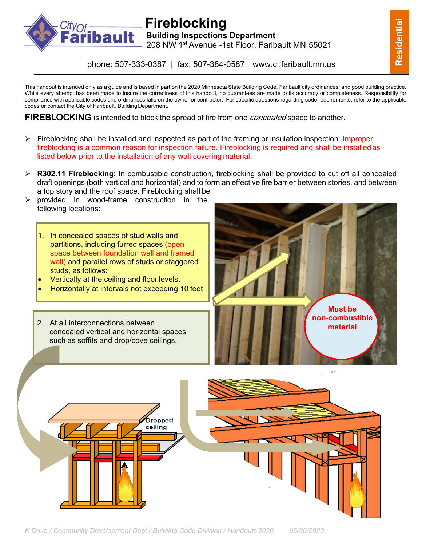

**Fireblocking Building Inspections Department** 208 NW 1<sup>st</sup> Avenue -1st Floor, Faribault MN 55021

**Reside**

**ntial**

phone: 507-333-0387 | fax: 507-384-0587 | [www.ci.faribault.mn.us](http://www.ci.faribault.mn.us/)

This handout is intended only as a guide and is based in part on the 2020 Minnesota State Building Code, Faribault city ordinances, and good building practice. While every attempt has been made to insure the correctness of this handout, no quarantees are made to its accuracy or completeness. Responsibility for compliance with applicable codes and ordinances falls on the owner or contractor. For specific questions regarding code requirements, refer to the applicable codes or contact the City of Faribault, Building Department.

**FIREBLOCKING** is intended to block the spread of fire from one *concealed* space to another.

- $\triangleright$  Fireblocking shall be installed and inspected as part of the framing or insulation inspection. Improper fireblocking is a common reason for inspection failure. Fireblocking is required and shall be installedas listed below prior to the installation of any wall covering material.
- **R302.11 Fireblocking**: In combustible construction, fireblocking shall be provided to cut off all concealed draft openings (both vertical and horizontal) and to form an effective fire barrier between stories, and between a top story and the roof space. Fireblocking shall be
- $\triangleright$  provided in wood-frame construction in the following locations: